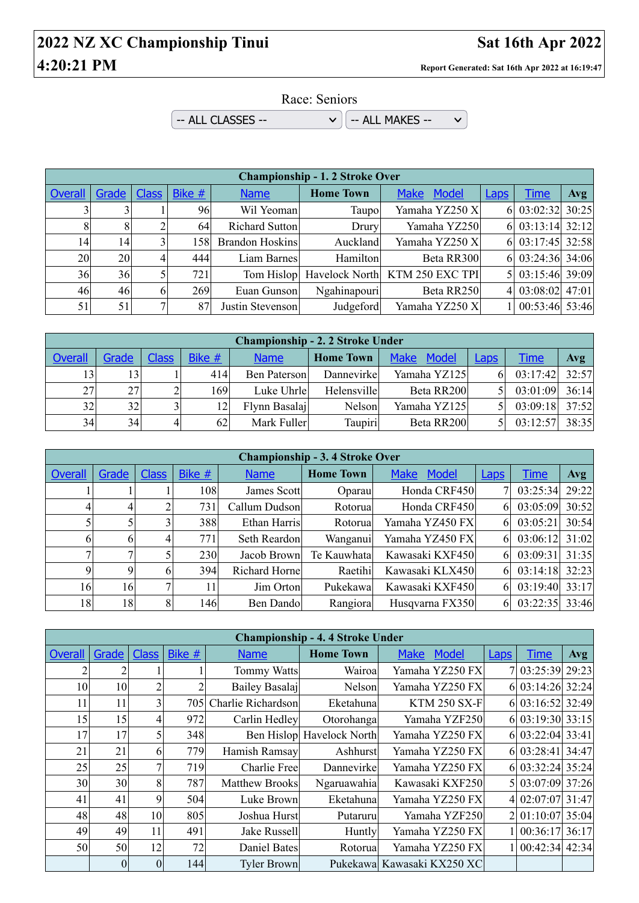## **2022 NZ XC Championship Tinui Sat 16th Apr 2022 4:20:21 PM Report Generated: Sat 16th Apr 2022 at 16:19:47**

 $\vee$ 

Race: Seniors

 $\sim$  ALL CLASSES --  $\sim$   $\sim$   $\sim$   $\sim$  ALL MAKES --

|         | <b>Championship - 1.2 Stroke Over</b> |    |        |                        |                  |                                           |             |                              |            |  |  |  |
|---------|---------------------------------------|----|--------|------------------------|------------------|-------------------------------------------|-------------|------------------------------|------------|--|--|--|
| Overall | Grade   Class                         |    | Bike # | <b>Name</b>            | <b>Home Town</b> | <b>Make</b><br>Model                      | <b>Laps</b> | <u>Time</u>                  | <b>Avg</b> |  |  |  |
|         |                                       |    | 96     | Wil Yeoman             | Taupo            | Yamaha YZ250 X                            |             | 6 03:02:32 30:25             |            |  |  |  |
| 8       | 8                                     |    | 64     | Richard Sutton         | Drury            | Yamaha YZ250                              |             | 6 03:13:14 32:12             |            |  |  |  |
| 14      | 14                                    |    | 1581   | <b>Brandon Hoskins</b> | Auckland         | Yamaha YZ250 X                            |             | 6 03:17:45 32:58             |            |  |  |  |
| 20      | 20                                    | 4  | 444    | Liam Barnes            | Hamilton         | Beta RR300                                |             | 6 03:24:36 34:06             |            |  |  |  |
| 36      | 36                                    |    | 721    |                        |                  | Tom Hislop Havelock North KTM 250 EXC TPI |             | 5 03:15:46 39:09             |            |  |  |  |
| 46      | 46                                    | 61 | 269    | Euan Gunson            | Ngahinapouri     | Beta RR250                                |             | 4 03:08:02 47:01             |            |  |  |  |
| 51      | 51                                    |    | 87     | Justin Stevenson       | Judgeford        | Yamaha YZ250 X                            |             | $1 \mid 00:53:46 \mid 53:46$ |            |  |  |  |

| <b>Championship - 2. 2 Stroke Under</b> |       |       |        |               |                  |                      |             |             |       |  |  |
|-----------------------------------------|-------|-------|--------|---------------|------------------|----------------------|-------------|-------------|-------|--|--|
| <b>Overall</b>                          | Grade | Class | Bike # | <b>Name</b>   | <b>Home Town</b> | Model<br><b>Make</b> | <b>Laps</b> | <u>Time</u> | Avg   |  |  |
| 13                                      | 13    |       | 414    | Ben Paterson  | Dannevirke       | Yamaha YZ125         | 6           | 03:17:42    | 32:57 |  |  |
| 27                                      | 27    |       | 169    | Luke Uhrle    | Helensville      | Beta RR200           | 51          | 03:01:09    | 36:14 |  |  |
| 32                                      | 32    |       | 12     | Flynn Basalaj | Nelson           | Yamaha YZ125         |             | 03:09:18    | 37:52 |  |  |
| 34                                      | 34    |       | 62     | Mark Fuller   | Taupiri          | Beta RR200           |             | 03:12:57    | 38:35 |  |  |

|         | <b>Championship - 3.4 Stroke Over</b> |              |        |                |                  |                      |             |             |            |  |  |  |
|---------|---------------------------------------|--------------|--------|----------------|------------------|----------------------|-------------|-------------|------------|--|--|--|
| Overall | Grade                                 | <b>Class</b> | Bike # | <b>Name</b>    | <b>Home Town</b> | <b>Make</b><br>Model | <b>Laps</b> | <b>Time</b> | <b>Avg</b> |  |  |  |
|         |                                       |              | 108    | James Scott    | Oparau           | Honda CRF450         |             | 03:25:34    | 29:22      |  |  |  |
|         |                                       |              | 731    | Callum Dudson  | Rotorual         | Honda CRF450         | 61          | 03:05:09    | 30:52      |  |  |  |
|         |                                       | 3            | 388    | Ethan Harris   | Rotorua          | Yamaha YZ450 FX      | 6           | 03:05:21    | 30:54      |  |  |  |
| 6       | h                                     | 4            | 771    | Seth Reardon   | Wanganui         | Yamaha YZ450 FX      | 6           | 03:06:12    | 31:02      |  |  |  |
|         |                                       |              | 230    | Jacob Brown    | Te Kauwhata      | Kawasaki KXF450      | 6           | 03:09:31    | 31:35      |  |  |  |
| Q       | Q                                     | 6            | 394    | Richard Hornel | Raetihi          | Kawasaki KLX450      | 6           | 03:14:18    | 32:23      |  |  |  |
| 16      | 16                                    | 7            | 11     | Jim Orton      | Pukekawa         | Kawasaki KXF450      | 6           | 03:19:40    | 33:17      |  |  |  |
| 18      | 18                                    | 8            | 146    | Ben Dando      | Rangiora         | Husqvarna FX350      | 61          | 03:22:35    | 33:46      |  |  |  |

|                |          |              |        |                       | <b>Championship - 4.4 Stroke Under</b> |                             |             |                  |            |
|----------------|----------|--------------|--------|-----------------------|----------------------------------------|-----------------------------|-------------|------------------|------------|
| <b>Overall</b> | Grade    | <b>Class</b> | Bike # | <b>Name</b>           | <b>Home Town</b>                       | <b>Model</b><br><b>Make</b> | <b>Laps</b> | <b>Time</b>      | <b>Avg</b> |
|                | 2        |              |        | <b>Tommy Watts</b>    | Wairoa                                 | Yamaha YZ250 FX             |             | 7 03:25:39 29:23 |            |
| 10             | 10       | 2            | 2      | Bailey Basalaj        | Nelson                                 | Yamaha YZ250 FX             |             | 6 03:14:26 32:24 |            |
| 11             | 11       | 3            | 705    | Charlie Richardson    | Eketahuna                              | <b>KTM 250 SX-F</b>         |             | 6 03:16:52 32:49 |            |
| 15             | 15       | 4            | 972    | Carlin Hedley         | Otorohanga                             | Yamaha YZF250               |             | 6 03:19:30 33:15 |            |
| 17             | 17       | 5            | 348    |                       | Ben Hislop Havelock North              | Yamaha YZ250 FX             |             | 6 03:22:04 33:41 |            |
| 21             | 21       | 6            | 779    | Hamish Ramsay         | Ashhurst                               | Yamaha YZ250 FX             |             | 6 03:28:41 34:47 |            |
| 25             | 25       | 7            | 719    | <b>Charlie Free</b>   | Dannevirke                             | Yamaha YZ250 FX             |             | 6 03:32:24 35:24 |            |
| 30             | 30       | 8            | 787    | <b>Matthew Brooks</b> | Ngaruawahia                            | Kawasaki KXF250             |             | 5 03:07:09 37:26 |            |
| 41             | 41       | 9            | 504    | Luke Brown            | Eketahuna                              | Yamaha YZ250 FX             |             | 4 02:07:07 31:47 |            |
| 48             | 48       | 10           | 805    | Joshua Hurst          | Putaruru                               | Yamaha YZF250               |             | 2 01:10:07 35:04 |            |
| 49             | 49       | 11           | 491    | <b>Jake Russell</b>   | Huntly                                 | Yamaha YZ250 FX             |             | 00:36:17 36:17   |            |
| 50             | 50       | 12           | 72     | Daniel Bates          | Rotorua                                | Yamaha YZ250 FX             |             | $00:42:34$ 42:34 |            |
|                | $\theta$ | $\theta$     | 144    | <b>Tyler Brown</b>    |                                        | Pukekawa Kawasaki KX250 XC  |             |                  |            |